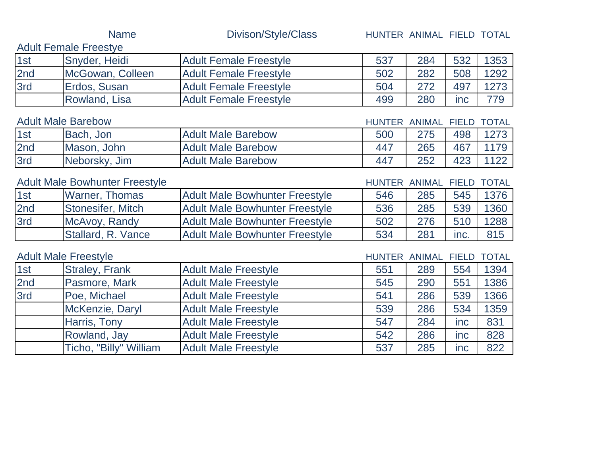|     | <b>Name</b>                           | Divison/Style/Class                   | HUNTER ANIMAL FIELD TOTAL |               |              |              |
|-----|---------------------------------------|---------------------------------------|---------------------------|---------------|--------------|--------------|
|     | <b>Adult Female Freestye</b>          |                                       |                           |               |              |              |
| 1st | Snyder, Heidi                         | <b>Adult Female Freestyle</b>         | 537                       | 284           | 532          | 1353         |
| 2nd | McGowan, Colleen                      | <b>Adult Female Freestyle</b>         | 502                       | 282           | 508          | 1292         |
| 3rd | Erdos, Susan                          | <b>Adult Female Freestyle</b>         | 504                       | 272           | 497          | 1273         |
|     | Rowland, Lisa                         | <b>Adult Female Freestyle</b>         | 499                       | 280           | inc          | 779          |
|     | <b>Adult Male Barebow</b>             |                                       | <b>HUNTER</b>             | ANIMAL        | <b>FIELD</b> | <b>TOTAL</b> |
| 1st | Bach, Jon                             | <b>Adult Male Barebow</b>             | 500                       | 275           | 498          | 1273         |
| 2nd | Mason, John                           | <b>Adult Male Barebow</b>             | 447                       | 265           | 467          | 1179         |
| 3rd | Neborsky, Jim                         | <b>Adult Male Barebow</b>             | 447                       | 252           | 423          | 1122         |
|     | <b>Adult Male Bowhunter Freestyle</b> |                                       | HUNTER ANIMAL             |               | <b>FIELD</b> | <b>TOTAL</b> |
| 1st | <b>Warner, Thomas</b>                 | <b>Adult Male Bowhunter Freestyle</b> | 546                       | 285           | 545          | 1376         |
| 2nd | Stonesifer, Mitch                     | <b>Adult Male Bowhunter Freestyle</b> | 536                       | 285           | 539          | 1360         |
| 3rd | McAvoy, Randy                         | <b>Adult Male Bowhunter Freestyle</b> | 502                       | 276           | 510          | 1288         |
|     | Stallard, R. Vance                    | <b>Adult Male Bowhunter Freestyle</b> | 534                       | 281           | inc.         | 815          |
|     | <b>Adult Male Freestyle</b>           |                                       | <b>HUNTER</b>             | <b>ANIMAL</b> | <b>FIELD</b> | <b>TOTAL</b> |
| 1st | <b>Straley, Frank</b>                 | <b>Adult Male Freestyle</b>           | 551                       | 289           | 554          | 1394         |
| 2nd | Pasmore, Mark                         | <b>Adult Male Freestyle</b>           | 545                       | 290           | 551          | 1386         |
| 3rd | Poe, Michael                          | <b>Adult Male Freestyle</b>           | 541                       | 286           | 539          | 1366         |
|     | McKenzie, Daryl                       | <b>Adult Male Freestyle</b>           | 539                       | 286           | 534          | 1359         |
|     | Harris, Tony                          | <b>Adult Male Freestyle</b>           | 547                       | 284           | inc          | 831          |
|     | Rowland, Jay                          | <b>Adult Male Freestyle</b>           | 542                       | 286           | inc          | 828          |
|     | Ticho, "Billy" William                | <b>Adult Male Freestyle</b>           | 537                       | 285           | inc          | 822          |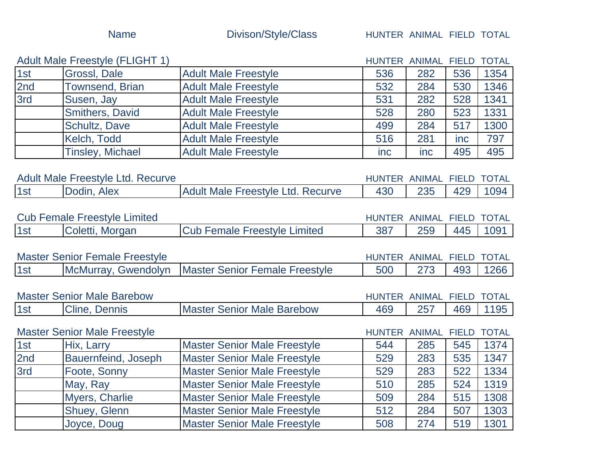|                                          | <b>Adult Male Freestyle (FLIGHT 1)</b> |                                          | HUNTER ANIMAL |              | <b>FIELD</b> | <b>TOTAL</b> |
|------------------------------------------|----------------------------------------|------------------------------------------|---------------|--------------|--------------|--------------|
| 1st                                      | Grossl, Dale                           | <b>Adult Male Freestyle</b>              | 536           | 282          | 536          | 1354         |
| 2nd                                      | <b>Townsend, Brian</b>                 | <b>Adult Male Freestyle</b>              | 532           | 284          | 530          | 1346         |
| 3rd                                      | Susen, Jay                             | <b>Adult Male Freestyle</b>              | 531           | 282          | 528          | 1341         |
|                                          | Smithers, David                        | <b>Adult Male Freestyle</b>              | 528           | 280          | 523          | 1331         |
|                                          | Schultz, Dave                          | <b>Adult Male Freestyle</b>              | 499           | 284          | 517          | 1300         |
|                                          | Kelch, Todd                            | <b>Adult Male Freestyle</b>              | 516           | 281          | <i>inc</i>   | 797          |
|                                          | <b>Tinsley, Michael</b>                | <b>Adult Male Freestyle</b>              | inc           | inc          | 495          | 495          |
| <b>Adult Male Freestyle Ltd. Recurve</b> |                                        | HUNTER ANIMAL                            |               | <b>FIELD</b> | <b>TOTAL</b> |              |
| 1st                                      | Dodin, Alex                            | <b>Adult Male Freestyle Ltd. Recurve</b> | 430           | 235          | 429          | 1094         |
| <b>Cub Female Freestyle Limited</b>      |                                        | HUNTER ANIMAL                            |               | <b>FIELD</b> | <b>TOTAL</b> |              |
| 1st                                      | Coletti, Morgan                        | <b>Cub Female Freestyle Limited</b>      | 387           | 259          | 445          | 1091         |
|                                          |                                        |                                          |               |              |              |              |
|                                          | <b>Master Senior Female Freestyle</b>  |                                          | <b>HUNTER</b> | ANIMAL       | <b>FIELD</b> | <b>TOTAL</b> |
| 1st                                      | McMurray, Gwendolyn                    | <b>Master Senior Female Freestyle</b>    | 500           | 273          | 493          | 1266         |
|                                          |                                        |                                          |               |              |              |              |

| <b>Master Senior Male Barebow</b> |                         | HUNT<br>TER.                       | ANIMAL | <b>FIELD</b> | <b>TOTAL</b> |  |
|-----------------------------------|-------------------------|------------------------------------|--------|--------------|--------------|--|
| 1s                                | <b>Dennis</b><br>Cline, | <b>IMaster Senior Male Barebow</b> | 469    | つらう          | 469          |  |

|     | <b>Master Senior Male Freestyle</b> |                                     | HUNTER ANIMAL FIELD TOTAL |     |     |      |
|-----|-------------------------------------|-------------------------------------|---------------------------|-----|-----|------|
| 1st | Hix, Larry                          | <b>Master Senior Male Freestyle</b> | 544                       | 285 | 545 | 1374 |
| 2nd | <b>Bauernfeind, Joseph</b>          | <b>Master Senior Male Freestyle</b> | 529                       | 283 | 535 | 1347 |
| 3rd | Foote, Sonny                        | <b>Master Senior Male Freestyle</b> | 529                       | 283 | 522 | 1334 |
|     | May, Ray                            | <b>Master Senior Male Freestyle</b> | 510                       | 285 | 524 | 1319 |
|     | <b>Myers, Charlie</b>               | <b>Master Senior Male Freestyle</b> | 509                       | 284 | 515 | 1308 |
|     | <b>Shuey, Glenn</b>                 | <b>Master Senior Male Freestyle</b> | 512                       | 284 | 507 | 1303 |
|     | Joyce, Doug                         | <b>Master Senior Male Freestyle</b> | 508                       | 274 | 519 | 1301 |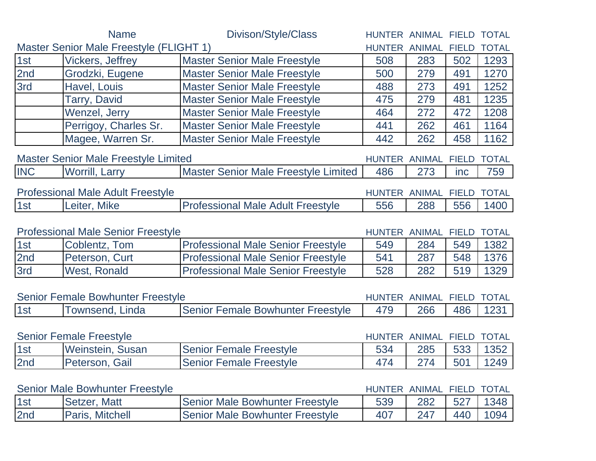|                                           | <b>Name</b>                                 | Divison/Style/Class                       | HUNTER ANIMAL FIELD TOTAL |                     |              |              |
|-------------------------------------------|---------------------------------------------|-------------------------------------------|---------------------------|---------------------|--------------|--------------|
|                                           | Master Senior Male Freestyle (FLIGHT 1)     |                                           | <b>HUNTER</b>             | <b>ANIMAL FIELD</b> |              | <b>TOTAL</b> |
| 1st                                       | <b>Vickers, Jeffrey</b>                     | <b>Master Senior Male Freestyle</b>       | 508                       | 283                 | 502          | 1293         |
| 2nd                                       | Grodzki, Eugene                             | <b>Master Senior Male Freestyle</b>       | 500                       | 279                 | 491          | 1270         |
| 3rd                                       | Havel, Louis                                | <b>Master Senior Male Freestyle</b>       | 488                       | 273                 | 491          | 1252         |
|                                           | <b>Tarry, David</b>                         | <b>Master Senior Male Freestyle</b>       | 475                       | 279                 | 481          | 1235         |
|                                           | Wenzel, Jerry                               | <b>Master Senior Male Freestyle</b>       | 464                       | 272                 | 472          | 1208         |
|                                           | Perrigoy, Charles Sr.                       | <b>Master Senior Male Freestyle</b>       | 441                       | 262                 | 461          | 1164         |
|                                           | Magee, Warren Sr.                           | <b>Master Senior Male Freestyle</b>       | 442                       | 262                 | 458          | 1162         |
|                                           | <b>Master Senior Male Freestyle Limited</b> |                                           | <b>HUNTER</b>             | <b>ANIMAL</b>       | <b>FIELD</b> | <b>TOTAL</b> |
| <b>INC</b>                                | <b>Worrill, Larry</b>                       | Master Senior Male Freestyle Limited      | 486                       | 273                 | inc          | 759          |
| <b>Professional Male Adult Freestyle</b>  |                                             | HUNTER ANIMAL FIELD                       |                           |                     | <b>TOTAL</b> |              |
| 1st                                       | Leiter, Mike                                | <b>Professional Male Adult Freestyle</b>  | 556                       | 288                 | 556          | 1400         |
| <b>Professional Male Senior Freestyle</b> |                                             |                                           | <b>HUNTER</b>             | <b>ANIMAL</b>       | <b>FIELD</b> | <b>TOTAL</b> |
| 1st                                       | Coblentz, Tom                               | <b>Professional Male Senior Freestyle</b> | 549                       | 284                 | 549          | 1382         |
| 2nd                                       | Peterson, Curt                              | <b>Professional Male Senior Freestyle</b> | 541                       | 287                 | 548          | 1376         |
| 3rd                                       | <b>West, Ronald</b>                         | <b>Professional Male Senior Freestyle</b> | 528                       | 282                 | 519          | 1329         |
|                                           | <b>Senior Female Bowhunter Freestyle</b>    |                                           | HUNTER ANIMAL FIELD       |                     |              | <b>TOTAL</b> |
| 1st                                       | Townsend, Linda                             | Senior Female Bowhunter Freestyle         | 479                       | 266                 | 486          | 1231         |
|                                           | <b>Senior Female Freestyle</b>              |                                           | HUNTER ANIMAL FIELD       |                     |              | <b>TOTAL</b> |
| 1st                                       | Weinstein, Susan                            | <b>Senior Female Freestyle</b>            | 534                       | 285                 | 533          | 1352         |
| 2nd                                       | Peterson, Gail                              | <b>Senior Female Freestyle</b>            | 474                       | 274                 | 501          | 1249         |
|                                           | <b>Senior Male Bowhunter Freestyle</b>      |                                           | HUNTER ANIMAL FIELD       |                     |              | <b>TOTAL</b> |
| 1st                                       | Setzer, Matt                                | <b>Senior Male Bowhunter Freestyle</b>    | 539                       | 282                 | 527          | 1348         |
| 2nd                                       | Paris, Mitchell                             | Senior Male Bowhunter Freestyle           | 407                       | 247                 | 440          | 1094         |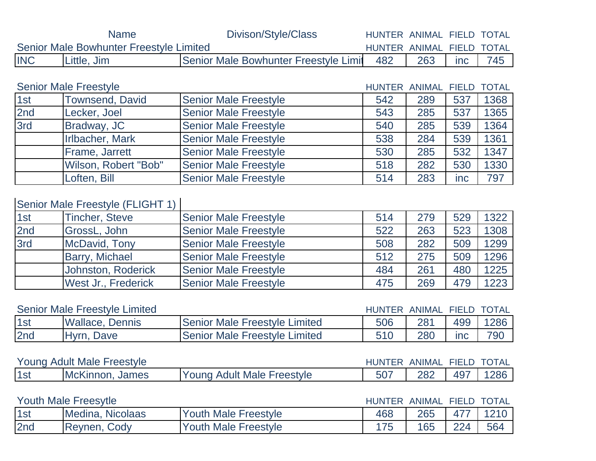|            | <b>Name</b>                             | Divison/Style/Class                   | HUNTER ANIMAL FIELD TOTAL |     |              |              |
|------------|-----------------------------------------|---------------------------------------|---------------------------|-----|--------------|--------------|
|            | Senior Male Bowhunter Freestyle Limited |                                       | HUNTER ANIMAL FIELD       |     |              | <b>TOTAL</b> |
| <b>INC</b> | Little, Jim                             | Senior Male Bowhunter Freestyle Limit | 482                       | 263 | inc          | 745          |
|            |                                         |                                       |                           |     |              |              |
|            | <b>Senior Male Freestyle</b>            |                                       | HUNTER ANIMAL FIELD       |     |              | <b>TOTAL</b> |
| 1st        | <b>Townsend, David</b>                  | <b>Senior Male Freestyle</b>          | 542                       | 289 | 537          | 1368         |
| 2nd        | Lecker, Joel                            | <b>Senior Male Freestyle</b>          | 543                       | 285 | 537          | 1365         |
| 3rd        | Bradway, JC                             | <b>Senior Male Freestyle</b>          | 540                       | 285 | 539          | 1364         |
|            | Irlbacher, Mark                         | <b>Senior Male Freestyle</b>          | 538                       | 284 | 539          | 1361         |
|            | Frame, Jarrett                          | <b>Senior Male Freestyle</b>          | 530                       | 285 | 532          | 1347         |
|            | Wilson, Robert "Bob"                    | <b>Senior Male Freestyle</b>          | 518                       | 282 | 530          | 1330         |
|            | Loften, Bill                            | <b>Senior Male Freestyle</b>          | 514                       | 283 | inc          | 797          |
|            |                                         |                                       |                           |     |              |              |
|            | Senior Male Freestyle (FLIGHT 1)        |                                       |                           |     |              |              |
| 1st        | <b>Tincher, Steve</b>                   | <b>Senior Male Freestyle</b>          | 514                       | 279 | 529          | 1322         |
| 2nd        | GrossL, John                            | <b>Senior Male Freestyle</b>          | 522                       | 263 | 523          | 1308         |
| 3rd        | McDavid, Tony                           | <b>Senior Male Freestyle</b>          | 508                       | 282 | 509          | 1299         |
|            | Barry, Michael                          | <b>Senior Male Freestyle</b>          | 512                       | 275 | 509          | 1296         |
|            | <b>Johnston, Roderick</b>               | <b>Senior Male Freestyle</b>          | 484                       | 261 | 480          | 1225         |
|            | West Jr., Frederick                     | <b>Senior Male Freestyle</b>          | 475                       | 269 | 479          | 1223         |
|            |                                         |                                       |                           |     |              |              |
|            | <b>Senior Male Freestyle Limited</b>    |                                       | HUNTER ANIMAL FIELD       |     |              | <b>TOTAL</b> |
| 1st        | <b>Wallace, Dennis</b>                  | <b>Senior Male Freestyle Limited</b>  | 506                       | 281 | 499          | 1286         |
| 2nd        | Hyrn, Dave                              | <b>Senior Male Freestyle Limited</b>  | 510                       | 280 | inc          | 790          |
|            |                                         |                                       |                           |     |              |              |
|            | <b>Young Adult Male Freestyle</b>       |                                       | HUNTER ANIMAL FIELD TOTAL |     |              |              |
| 1st        | McKinnon, James                         | <b>Young Adult Male Freestyle</b>     | 507                       | 282 | 497          | 1286         |
|            |                                         |                                       |                           |     |              |              |
|            | <b>Youth Male Freesytle</b>             |                                       | HUNTER ANIMAL             |     | <b>FIELD</b> | <b>TOTAL</b> |
| 1st        | Medina, Nicolaas                        | <b>Youth Male Freestyle</b>           | 468                       | 265 | 477          | 1210         |
| 2nd        | Reynen, Cody                            | <b>Youth Male Freestyle</b>           | 175                       | 165 | 224          | 564          |